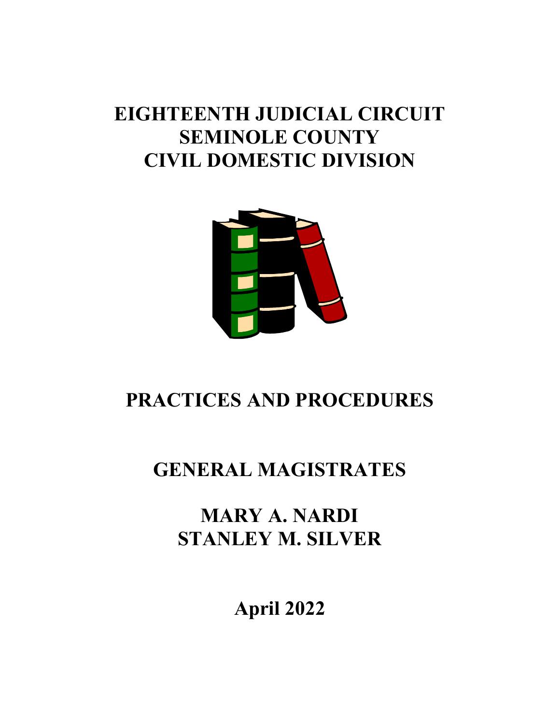# **EIGHTEENTH JUDICIAL CIRCUIT SEMINOLE COUNTY CIVIL DOMESTIC DIVISION**



# **PRACTICES AND PROCEDURES**

# **GENERAL MAGISTRATES**

## **MARY A. NARDI STANLEY M. SILVER**

**April 2022**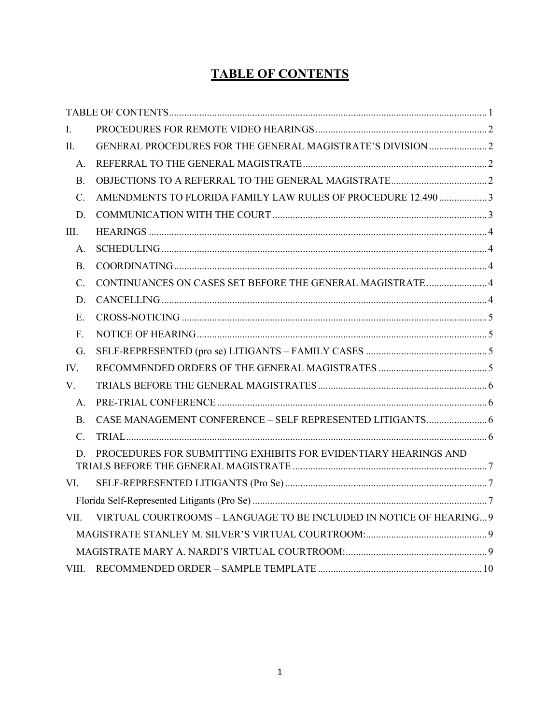## **TABLE OF CONTENTS**

<span id="page-1-0"></span>

| L.             |                                                                     |  |  |
|----------------|---------------------------------------------------------------------|--|--|
| II.            |                                                                     |  |  |
| A.             |                                                                     |  |  |
| B.             |                                                                     |  |  |
| $\mathbf{C}$ . | AMENDMENTS TO FLORIDA FAMILY LAW RULES OF PROCEDURE 12.490 3        |  |  |
| D.             |                                                                     |  |  |
| III.           |                                                                     |  |  |
| A.             |                                                                     |  |  |
| $\mathbf{B}$ . |                                                                     |  |  |
| $C_{\cdot}$    | CONTINUANCES ON CASES SET BEFORE THE GENERAL MAGISTRATE  4          |  |  |
| D.             |                                                                     |  |  |
| Ε.             |                                                                     |  |  |
| $F_{\rm{r}}$   |                                                                     |  |  |
| G.             |                                                                     |  |  |
| IV.            |                                                                     |  |  |
| $V_{\cdot}$    |                                                                     |  |  |
| A.             |                                                                     |  |  |
| $\mathbf{B}$ . |                                                                     |  |  |
| $C_{\cdot}$    |                                                                     |  |  |
| D.             | PROCEDURES FOR SUBMITTING EXHIBITS FOR EVIDENTIARY HEARINGS AND     |  |  |
| VI.            |                                                                     |  |  |
|                |                                                                     |  |  |
| VII.           | VIRTUAL COURTROOMS - LANGUAGE TO BE INCLUDED IN NOTICE OF HEARING 9 |  |  |
|                |                                                                     |  |  |
|                |                                                                     |  |  |
| VIII.          |                                                                     |  |  |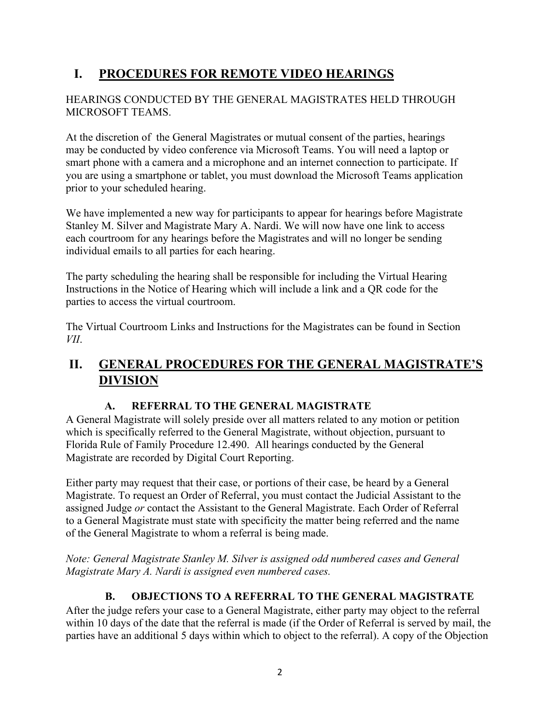## <span id="page-2-0"></span>**I. PROCEDURES FOR REMOTE VIDEO HEARINGS**

#### HEARINGS CONDUCTED BY THE GENERAL MAGISTRATES HELD THROUGH MICROSOFT TEAMS.

At the discretion of the General Magistrates or mutual consent of the parties, hearings may be conducted by video conference via Microsoft Teams. You will need a laptop or smart phone with a camera and a microphone and an internet connection to participate. If you are using a smartphone or tablet, you must download the Microsoft Teams application prior to your scheduled hearing.

We have implemented a new way for participants to appear for hearings before Magistrate Stanley M. Silver and Magistrate Mary A. Nardi. We will now have one link to access each courtroom for any hearings before the Magistrates and will no longer be sending individual emails to all parties for each hearing.

The party scheduling the hearing shall be responsible for including the Virtual Hearing Instructions in the Notice of Hearing which will include a link and a QR code for the parties to access the virtual courtroom.

The Virtual Courtroom Links and Instructions for the Magistrates can be found in Section *VII*.

## <span id="page-2-1"></span>**II. GENERAL PROCEDURES FOR THE GENERAL MAGISTRATE'S DIVISION**

#### **A. REFERRAL TO THE GENERAL MAGISTRATE**

<span id="page-2-2"></span>A General Magistrate will solely preside over all matters related to any motion or petition which is specifically referred to the General Magistrate, without objection, pursuant to Florida Rule of Family Procedure 12.490. All hearings conducted by the General Magistrate are recorded by Digital Court Reporting.

Either party may request that their case, or portions of their case, be heard by a General Magistrate. To request an Order of Referral, you must contact the Judicial Assistant to the assigned Judge *or* contact the Assistant to the General Magistrate. Each Order of Referral to a General Magistrate must state with specificity the matter being referred and the name of the General Magistrate to whom a referral is being made.

*Note: General Magistrate Stanley M. Silver is assigned odd numbered cases and General Magistrate Mary A. Nardi is assigned even numbered cases.*

### **B. OBJECTIONS TO A REFERRAL TO THE GENERAL MAGISTRATE**

<span id="page-2-3"></span>After the judge refers your case to a General Magistrate, either party may object to the referral within 10 days of the date that the referral is made (if the Order of Referral is served by mail, the parties have an additional 5 days within which to object to the referral). A copy of the Objection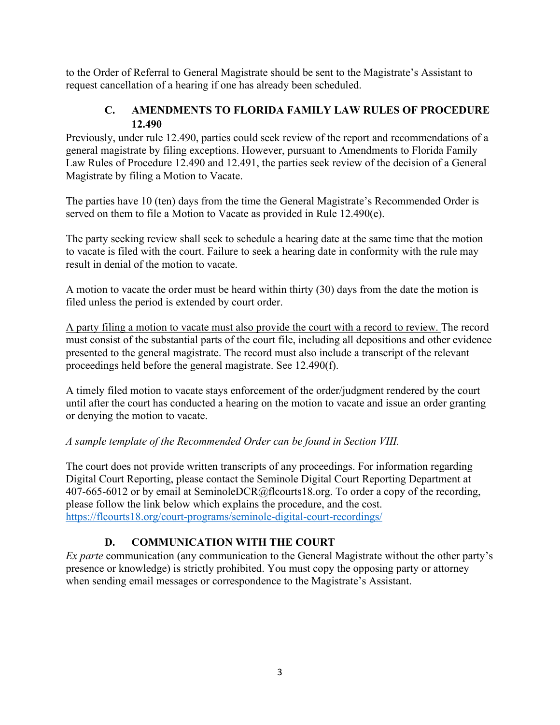to the Order of Referral to General Magistrate should be sent to the Magistrate's Assistant to request cancellation of a hearing if one has already been scheduled.

#### **C. AMENDMENTS TO FLORIDA FAMILY LAW RULES OF PROCEDURE 12.490**

<span id="page-3-0"></span>Previously, under rule 12.490, parties could seek review of the report and recommendations of a general magistrate by filing exceptions. However, pursuant to Amendments to Florida Family Law Rules of Procedure 12.490 and 12.491, the parties seek review of the decision of a General Magistrate by filing a Motion to Vacate.

The parties have 10 (ten) days from the time the General Magistrate's Recommended Order is served on them to file a Motion to Vacate as provided in Rule 12.490(e).

The party seeking review shall seek to schedule a hearing date at the same time that the motion to vacate is filed with the court. Failure to seek a hearing date in conformity with the rule may result in denial of the motion to vacate.

A motion to vacate the order must be heard within thirty (30) days from the date the motion is filed unless the period is extended by court order.

A party filing a motion to vacate must also provide the court with a record to review. The record must consist of the substantial parts of the court file, including all depositions and other evidence presented to the general magistrate. The record must also include a transcript of the relevant proceedings held before the general magistrate. See 12.490(f).

A timely filed motion to vacate stays enforcement of the order/judgment rendered by the court until after the court has conducted a hearing on the motion to vacate and issue an order granting or denying the motion to vacate.

#### *A sample template of the Recommended Order can be found in Section VIII.*

The court does not provide written transcripts of any proceedings. For information regarding Digital Court Reporting, please contact the Seminole Digital Court Reporting Department at 407-665-6012 or by email at SeminoleDCR@flcourts18.org. To order a copy of the recording, please follow the link below which explains the procedure, and the cost. <https://flcourts18.org/court-programs/seminole-digital-court-recordings/>

### **D. COMMUNICATION WITH THE COURT**

<span id="page-3-1"></span>*Ex parte* communication (any communication to the General Magistrate without the other party's presence or knowledge) is strictly prohibited. You must copy the opposing party or attorney when sending email messages or correspondence to the Magistrate's Assistant.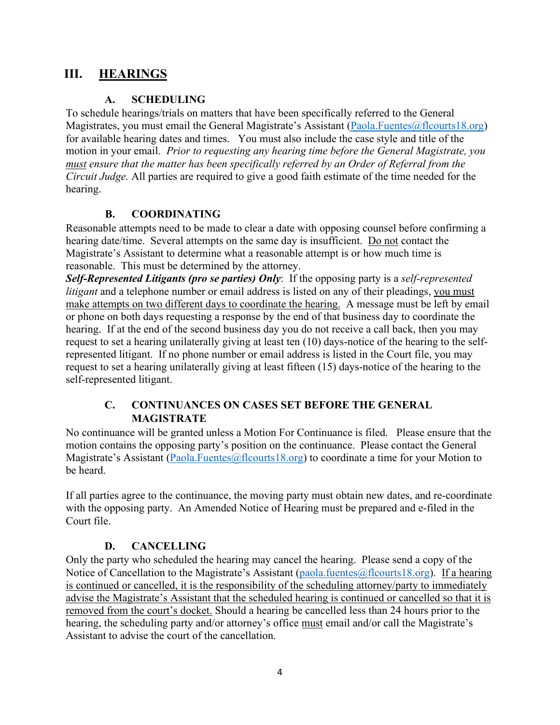### <span id="page-4-0"></span>**III. HEARINGS**

#### **A. SCHEDULING**

<span id="page-4-1"></span>To schedule hearings/trials on matters that have been specifically referred to the General Magistrates, you must email the General Magistrate's Assistant [\(Paola.Fuentes@flcourts18.org\)](mailto:Paola.Fuentes@flcourts18.org) for available hearing dates and times. You must also include the case style and title of the motion in your email. *Prior to requesting any hearing time before the General Magistrate, you must ensure that the matter has been specifically referred by an Order of Referral from the Circuit Judge.* All parties are required to give a good faith estimate of the time needed for the hearing.

#### **B. COORDINATING**

<span id="page-4-2"></span>Reasonable attempts need to be made to clear a date with opposing counsel before confirming a hearing date/time. Several attempts on the same day is insufficient. Do not contact the Magistrate's Assistant to determine what a reasonable attempt is or how much time is reasonable. This must be determined by the attorney.

*Self-Represented Litigants (pro se parties) Only*: If the opposing party is a *self-represented litigant* and a telephone number or email address is listed on any of their pleadings, you must make attempts on two different days to coordinate the hearing. A message must be left by email or phone on both days requesting a response by the end of that business day to coordinate the hearing. If at the end of the second business day you do not receive a call back, then you may request to set a hearing unilaterally giving at least ten (10) days-notice of the hearing to the selfrepresented litigant. If no phone number or email address is listed in the Court file, you may request to set a hearing unilaterally giving at least fifteen (15) days-notice of the hearing to the self-represented litigant.

#### **C. CONTINUANCES ON CASES SET BEFORE THE GENERAL MAGISTRATE**

<span id="page-4-3"></span>No continuance will be granted unless a Motion For Continuance is filed. Please ensure that the motion contains the opposing party's position on the continuance. Please contact the General Magistrate's Assistant [\(Paola.Fuentes@flcourts18.org\)](mailto:Paola.Fuentes@flcourts18.org) to coordinate a time for your Motion to be heard.

If all parties agree to the continuance, the moving party must obtain new dates, and re-coordinate with the opposing party. An Amended Notice of Hearing must be prepared and e-filed in the Court file.

#### **D. CANCELLING**

<span id="page-4-4"></span>Only the party who scheduled the hearing may cancel the hearing. Please send a copy of the Notice of Cancellation to the Magistrate's Assistant [\(paola.fuentes@flcourts18.org\)](mailto:paola.fuentes@flcourts18.org). If a hearing is continued or cancelled, it is the responsibility of the scheduling attorney/party to immediately advise the Magistrate's Assistant that the scheduled hearing is continued or cancelled so that it is removed from the court's docket. Should a hearing be cancelled less than 24 hours prior to the hearing, the scheduling party and/or attorney's office must email and/or call the Magistrate's Assistant to advise the court of the cancellation.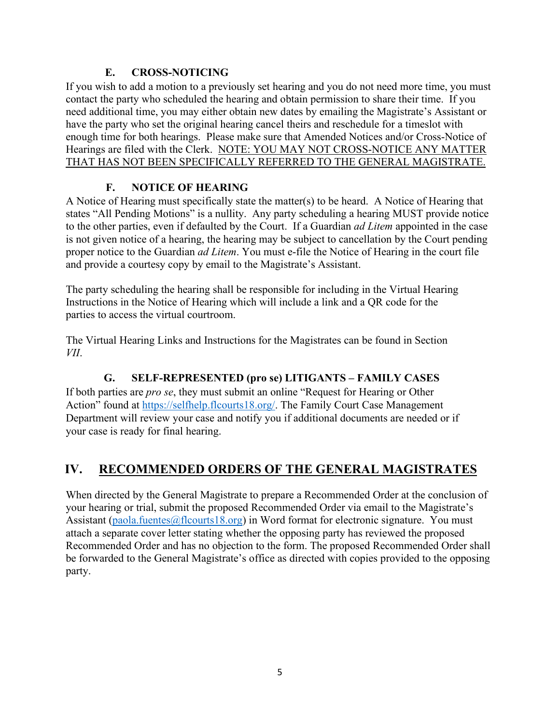#### **E. CROSS-NOTICING**

<span id="page-5-0"></span>If you wish to add a motion to a previously set hearing and you do not need more time, you must contact the party who scheduled the hearing and obtain permission to share their time. If you need additional time, you may either obtain new dates by emailing the Magistrate's Assistant or have the party who set the original hearing cancel theirs and reschedule for a timeslot with enough time for both hearings. Please make sure that Amended Notices and/or Cross-Notice of Hearings are filed with the Clerk. NOTE: YOU MAY NOT CROSS-NOTICE ANY MATTER THAT HAS NOT BEEN SPECIFICALLY REFERRED TO THE GENERAL MAGISTRATE.

#### **F. NOTICE OF HEARING**

<span id="page-5-1"></span>A Notice of Hearing must specifically state the matter(s) to be heard. A Notice of Hearing that states "All Pending Motions" is a nullity. Any party scheduling a hearing MUST provide notice to the other parties, even if defaulted by the Court. If a Guardian *ad Litem* appointed in the case is not given notice of a hearing, the hearing may be subject to cancellation by the Court pending proper notice to the Guardian *ad Litem*. You must e-file the Notice of Hearing in the court file and provide a courtesy copy by email to the Magistrate's Assistant.

The party scheduling the hearing shall be responsible for including in the Virtual Hearing Instructions in the Notice of Hearing which will include a link and a QR code for the parties to access the virtual courtroom.

The Virtual Hearing Links and Instructions for the Magistrates can be found in Section *VII*.

### **G. SELF-REPRESENTED (pro se) LITIGANTS – FAMILY CASES**

<span id="page-5-2"></span>If both parties are *pro se*, they must submit an online "Request for Hearing or Other Action" found at [https://selfhelp.flcourts18.org/.](https://selfhelp.flcourts18.org/) The Family Court Case Management Department will review your case and notify you if additional documents are needed or if your case is ready for final hearing.

## <span id="page-5-3"></span>**IV. RECOMMENDED ORDERS OF THE GENERAL MAGISTRATES**

When directed by the General Magistrate to prepare a Recommended Order at the conclusion of your hearing or trial, submit the proposed Recommended Order via email to the Magistrate's Assistant [\(paola.fuentes@flcourts18.org\)](mailto:paola.fuentes@flcourts18.org) in Word format for electronic signature. You must attach a separate cover letter stating whether the opposing party has reviewed the proposed Recommended Order and has no objection to the form. The proposed Recommended Order shall be forwarded to the General Magistrate's office as directed with copies provided to the opposing party.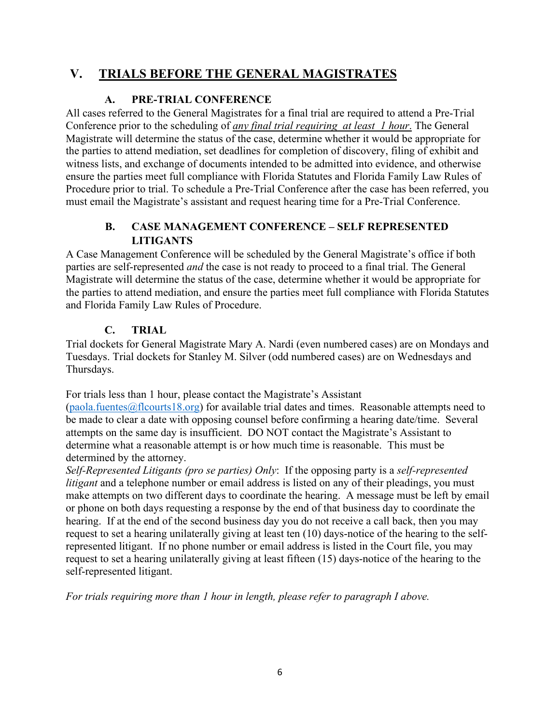### <span id="page-6-0"></span>**V. TRIALS BEFORE THE GENERAL MAGISTRATES**

#### **A. PRE-TRIAL CONFERENCE**

<span id="page-6-1"></span>All cases referred to the General Magistrates for a final trial are required to attend a Pre-Trial Conference prior to the scheduling of *any final trial requiring at least 1 hour*. The General Magistrate will determine the status of the case, determine whether it would be appropriate for the parties to attend mediation, set deadlines for completion of discovery, filing of exhibit and witness lists, and exchange of documents intended to be admitted into evidence, and otherwise ensure the parties meet full compliance with Florida Statutes and Florida Family Law Rules of Procedure prior to trial. To schedule a Pre-Trial Conference after the case has been referred, you must email the Magistrate's assistant and request hearing time for a Pre-Trial Conference.

#### **B. CASE MANAGEMENT CONFERENCE – SELF REPRESENTED LITIGANTS**

<span id="page-6-2"></span>A Case Management Conference will be scheduled by the General Magistrate's office if both parties are self-represented *and* the case is not ready to proceed to a final trial. The General Magistrate will determine the status of the case, determine whether it would be appropriate for the parties to attend mediation, and ensure the parties meet full compliance with Florida Statutes and Florida Family Law Rules of Procedure.

#### **C. TRIAL**

<span id="page-6-3"></span>Trial dockets for General Magistrate Mary A. Nardi (even numbered cases) are on Mondays and Tuesdays. Trial dockets for Stanley M. Silver (odd numbered cases) are on Wednesdays and Thursdays.

For trials less than 1 hour, please contact the Magistrate's Assistant

 $(paola.fuentes@flcourts18.org)$  for available trial dates and times. Reasonable attempts need to be made to clear a date with opposing counsel before confirming a hearing date/time. Several attempts on the same day is insufficient. DO NOT contact the Magistrate's Assistant to determine what a reasonable attempt is or how much time is reasonable. This must be determined by the attorney.

*Self-Represented Litigants (pro se parties) Only*: If the opposing party is a *self-represented litigant* and a telephone number or email address is listed on any of their pleadings, you must make attempts on two different days to coordinate the hearing. A message must be left by email or phone on both days requesting a response by the end of that business day to coordinate the hearing. If at the end of the second business day you do not receive a call back, then you may request to set a hearing unilaterally giving at least ten (10) days-notice of the hearing to the selfrepresented litigant. If no phone number or email address is listed in the Court file, you may request to set a hearing unilaterally giving at least fifteen (15) days-notice of the hearing to the self-represented litigant.

*For trials requiring more than 1 hour in length, please refer to paragraph I above.*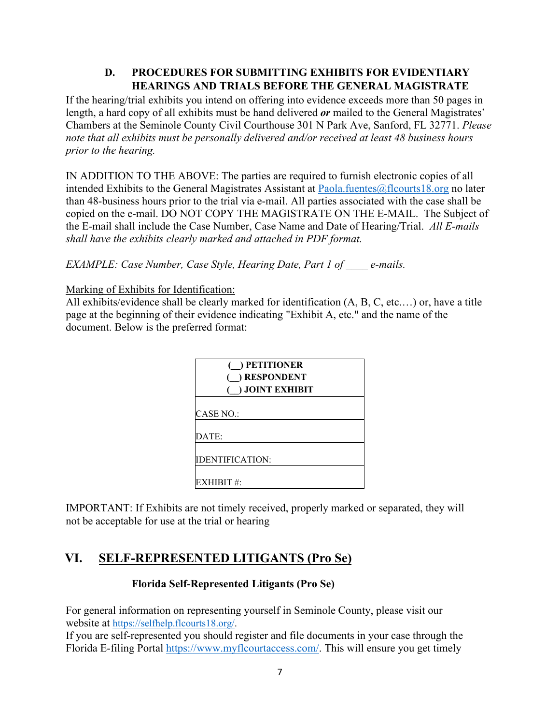#### **D. PROCEDURES FOR SUBMITTING EXHIBITS FOR EVIDENTIARY HEARINGS AND TRIALS BEFORE THE GENERAL MAGISTRATE**

<span id="page-7-0"></span>If the hearing/trial exhibits you intend on offering into evidence exceeds more than 50 pages in length, a hard copy of all exhibits must be hand delivered *or* mailed to the General Magistrates' Chambers at the Seminole County Civil Courthouse 301 N Park Ave, Sanford, FL 32771. *Please note that all exhibits must be personally delivered and/or received at least 48 business hours prior to the hearing.*

IN ADDITION TO THE ABOVE: The parties are required to furnish electronic copies of all intended Exhibits to the General Magistrates Assistant at [Paola.fuentes@flcourts18.org](mailto:Paola.fuentes@flcourts18.org) no later than 48-business hours prior to the trial via e-mail. All parties associated with the case shall be copied on the e-mail. DO NOT COPY THE MAGISTRATE ON THE E-MAIL. The Subject of the E-mail shall include the Case Number, Case Name and Date of Hearing/Trial. *All E-mails shall have the exhibits clearly marked and attached in PDF format.*

*EXAMPLE: Case Number, Case Style, Hearing Date, Part 1 of \_\_\_\_ e-mails.*

#### Marking of Exhibits for Identification:

All exhibits/evidence shall be clearly marked for identification (A, B, C, etc.…) or, have a title page at the beginning of their evidence indicating "Exhibit A, etc." and the name of the document. Below is the preferred format:

| $($ ) PETITIONER<br>( ) RESPONDENT<br>$($ ) JOINT EXHIBIT |  |
|-----------------------------------------------------------|--|
| CASE NO.:                                                 |  |
| DATE:                                                     |  |
| IDENTIFICATION:                                           |  |
| EXHIBIT #:                                                |  |

IMPORTANT: If Exhibits are not timely received, properly marked or separated, they will not be acceptable for use at the trial or hearing

## <span id="page-7-2"></span><span id="page-7-1"></span>**VI. SELF-REPRESENTED LITIGANTS (Pro Se)**

#### **Florida Self-Represented Litigants (Pro Se)**

For general information on representing yourself in Seminole County, please visit our website at [https://selfhelp.flcourts18.org/.](https://selfhelp.flcourts18.org/)

If you are self-represented you should register and file documents in your case through the Florida E-filing Portal [https://www.myflcourtaccess.com/.](https://www.myflcourtaccess.com/) This will ensure you get timely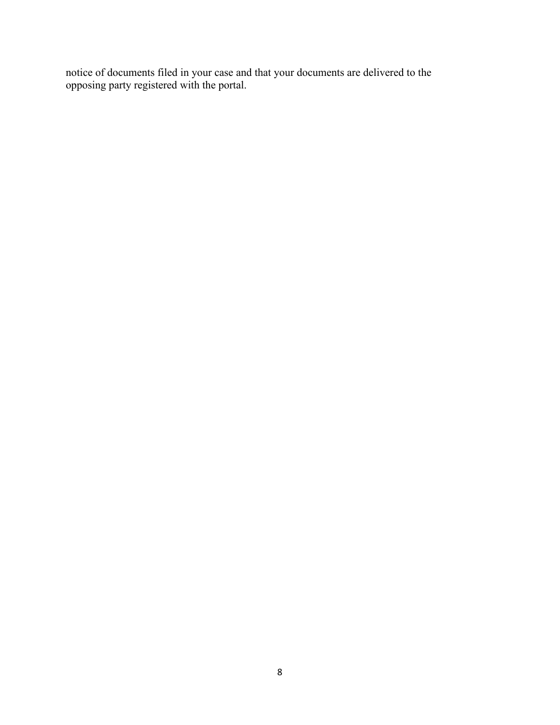notice of documents filed in your case and that your documents are delivered to the opposing party registered with the portal.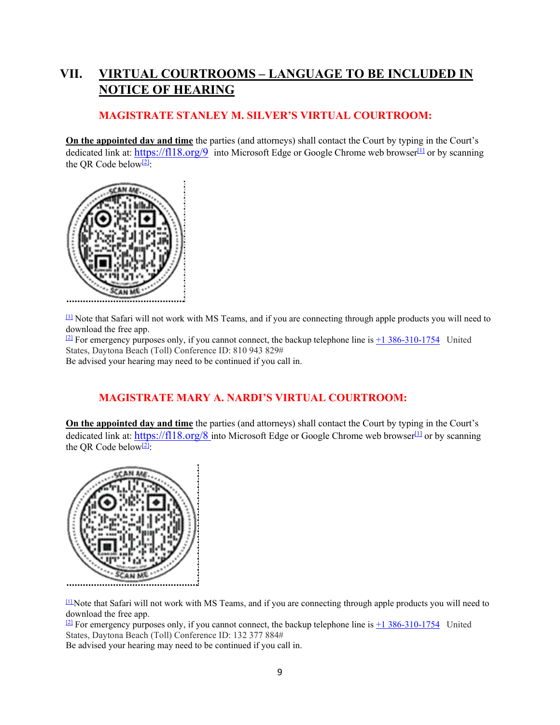## <span id="page-9-0"></span>**VII. VIRTUAL COURTROOMS – LANGUAGE TO BE INCLUDED IN NOTICE OF HEARING**

#### **MAGISTRATE STANLEY M. SILVER'S VIRTUAL COURTROOM:**

<span id="page-9-1"></span>**On the appointed day and time** the parties (and attorneys) shall contact the Court by typing in the Court's dedicated link at:<https://fl18.org/9>into Microsoft Edge or Google Chrome web browser<sup>[1]</sup> or by scanning the QR Code below $[2]$ :



 $\mu$  Note that Safari will not work with MS Teams, and if you are connecting through apple products you will need to download the free app.

 $\frac{[2]}{[2]}$  $\frac{[2]}{[2]}$  $\frac{[2]}{[2]}$  For emergency purposes only, if you cannot connect, the backup telephone line is [+1 386-310-1754](tel:+1%20386-310-1754,,810943829) United States, Daytona Beach (Toll) Conference ID: 810 943 829# Be advised your hearing may need to be continued if you call in.

## **MAGISTRATE MARY A. NARDI'S VIRTUAL COURTROOM:**

<span id="page-9-2"></span>**On the appointed day and time** the parties (and attorneys) shall contact the Court by typing in the Court's dedicated link at: [https://fl18.org/8 i](https://fl18.org/8)nto Microsoft Edge or Google Chrome web browser<sup>[1]</sup> or by scanning the QR Code below<sup>[2]</sup>:



[\[1\] N](https://flocourts18-my.sharepoint.com/personal/paola_fuentes_flcourts18_org/Documents/Desktop/TEAMS%20NOH%20-%20HEARINGS%20GM%20NARDI.docx#_ftnref1)ote that Safari will not work with MS Teams, and if you are connecting through apple products you will need to download the free app.

<sup>[\[2\]](https://flocourts18-my.sharepoint.com/personal/paola_fuentes_flcourts18_org/Documents/Desktop/TEAMS%20NOH%20-%20HEARINGS%20GM%20NARDI.docx#_ftnref2)</sup> For emergency purposes only, if you cannot connect, the backup telephone line is  $\pm 1\,386-310-1754$  United States, Daytona Beach (Toll) Conference ID: 132 377 884#

Be advised your hearing may need to be continued if you call in.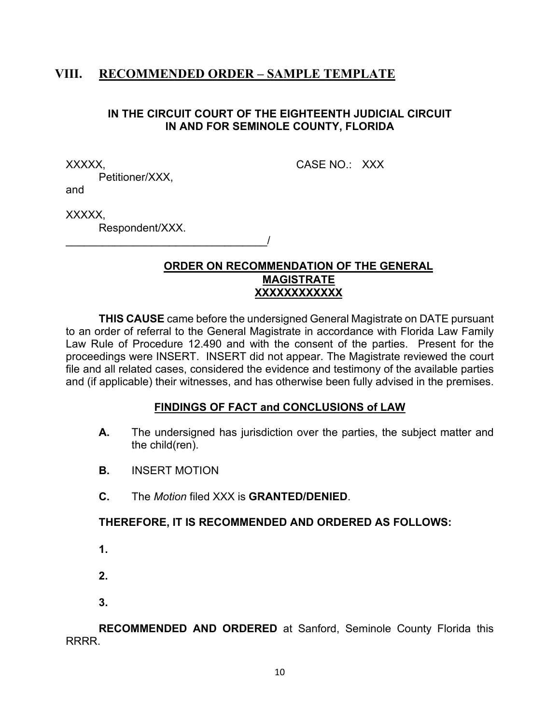### <span id="page-10-0"></span>**VIII. RECOMMENDED ORDER – SAMPLE TEMPLATE**

#### **IN THE CIRCUIT COURT OF THE EIGHTEENTH JUDICIAL CIRCUIT IN AND FOR SEMINOLE COUNTY, FLORIDA**

XXXXX, CASE NO.: XXX

Petitioner/XXX, and

XXXXX.

Respondent/XXX.

\_\_\_\_\_\_\_\_\_\_\_\_\_\_\_\_\_\_\_\_\_\_\_\_\_\_\_\_\_\_\_\_\_/

#### **ORDER ON RECOMMENDATION OF THE GENERAL MAGISTRATE XXXXXXXXXXXX**

**THIS CAUSE** came before the undersigned General Magistrate on DATE pursuant to an order of referral to the General Magistrate in accordance with Florida Law Family Law Rule of Procedure 12.490 and with the consent of the parties. Present for the proceedings were INSERT. INSERT did not appear. The Magistrate reviewed the court file and all related cases, considered the evidence and testimony of the available parties and (if applicable) their witnesses, and has otherwise been fully advised in the premises.

#### **FINDINGS OF FACT and CONCLUSIONS of LAW**

- **A.** The undersigned has jurisdiction over the parties, the subject matter and the child(ren).
- **B.** INSERT MOTION
- **C.** The *Motion* filed XXX is **GRANTED/DENIED**.

#### **THEREFORE, IT IS RECOMMENDED AND ORDERED AS FOLLOWS:**

**1.**

**2.**

**3.**

**RECOMMENDED AND ORDERED** at Sanford, Seminole County Florida this RRRR.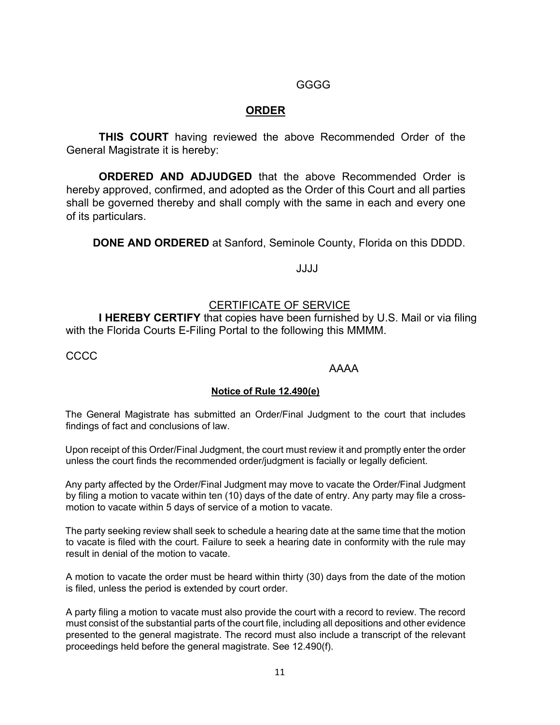#### GGGG

#### **ORDER**

**THIS COURT** having reviewed the above Recommended Order of the General Magistrate it is hereby:

**ORDERED AND ADJUDGED** that the above Recommended Order is hereby approved, confirmed, and adopted as the Order of this Court and all parties shall be governed thereby and shall comply with the same in each and every one of its particulars.

**DONE AND ORDERED** at Sanford, Seminole County, Florida on this DDDD.

JJJJ

#### CERTIFICATE OF SERVICE

**I HEREBY CERTIFY** that copies have been furnished by U.S. Mail or via filing with the Florida Courts E-Filing Portal to the following this MMMM.

CCCC

#### AAAA

#### **Notice of Rule 12.490(e)**

The General Magistrate has submitted an Order/Final Judgment to the court that includes findings of fact and conclusions of law.

Upon receipt of this Order/Final Judgment, the court must review it and promptly enter the order unless the court finds the recommended order/judgment is facially or legally deficient.

Any party affected by the Order/Final Judgment may move to vacate the Order/Final Judgment by filing a motion to vacate within ten (10) days of the date of entry. Any party may file a crossmotion to vacate within 5 days of service of a motion to vacate.

The party seeking review shall seek to schedule a hearing date at the same time that the motion to vacate is filed with the court. Failure to seek a hearing date in conformity with the rule may result in denial of the motion to vacate.

A motion to vacate the order must be heard within thirty (30) days from the date of the motion is filed, unless the period is extended by court order.

A party filing a motion to vacate must also provide the court with a record to review. The record must consist of the substantial parts of the court file, including all depositions and other evidence presented to the general magistrate. The record must also include a transcript of the relevant proceedings held before the general magistrate. See 12.490(f).